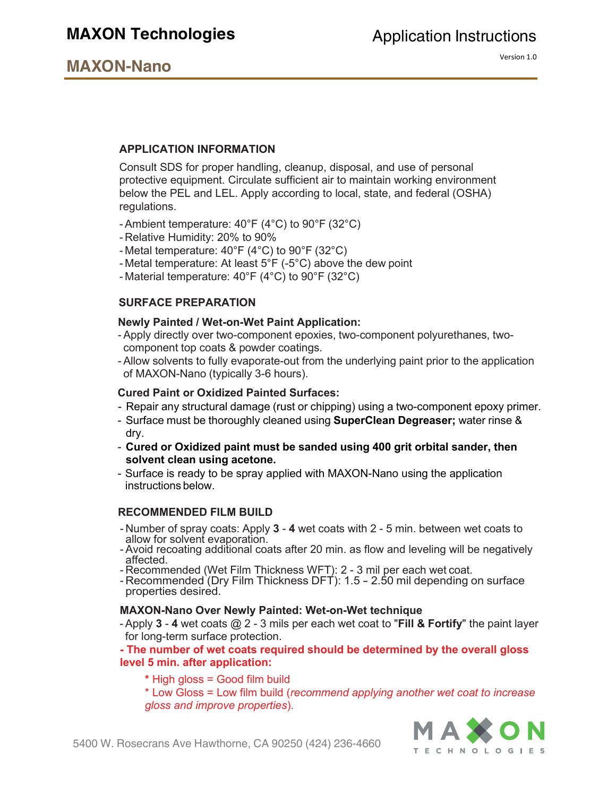# **MAXON Technologies**

# **MAXON-Nano**

Version 1.0

# **APPLICATION INFORMATION**

Consult SDS for proper handling, cleanup, disposal, and use of personal protective equipment. Circulate sufficient air to maintain working environment below the PEL and LEL. Apply according to local, state, and federal (OSHA) regulations.

- Ambient temperature: 40°F (4°C) to 90°F (32°C)
- Relative Humidity: 20% to 90%
- Metal temperature: 40°F (4°C) to 90°F (32°C)
- Metal temperature: At least 5°F (-5°C) above the dew point
- Material temperature: 40°F (4°C) to 90°F (32°C)

#### **SURFACE PREPARATION**

#### **Newly Painted / Wet-on-Wet Paint Application:**

- Apply directly over two-component epoxies, two-component polyurethanes, twocomponent top coats & powder coatings.
- Allow solvents to fully evaporate-out from the underlying paint prior to the application of MAXON-Nano (typically 3-6 hours).

#### **Cured Paint or Oxidized Painted Surfaces:**

- Repair any structural damage (rust or chipping) using a two-component epoxy primer.
- Surface must be thoroughly cleaned using **SuperClean Degreaser;** water rinse & dry.
- **Cured or Oxidized paint must be sanded using 400 grit orbital sander, then solvent clean using acetone.**
- Surface is ready to be spray applied with MAXON-Nano using the application instructions below.

#### **RECOMMENDED FILM BUILD**

- Number of spray coats: Apply **3 4** wet coats with 2 5 min. between wet coats to
- Avoid recoating additional coats after 20 min. as flow and leveling will be negatively<br>affected.
- Recommended (Wet Film Thickness WFT): 2 3 mil per each wet coat.<br>- Recommended (Dry Film Thickness DFT): 1.5 2.50 mil depending on surface
- properties desired.

#### **MAXON-Nano Over Newly Painted: Wet-on-Wet technique**

- Apply **3** - **4** wet coats @ 2 - 3 mils per each wet coat to "**Fill & Fortify**" the paint layer for long-term surface protection.

#### **- The number of wet coats required should be determined by the overall gloss level 5 min. after application:**

**\*** High gloss = Good film build

\* Low Gloss = Low film build (*recommend applying another wet coat to increase gloss and improve properties*).

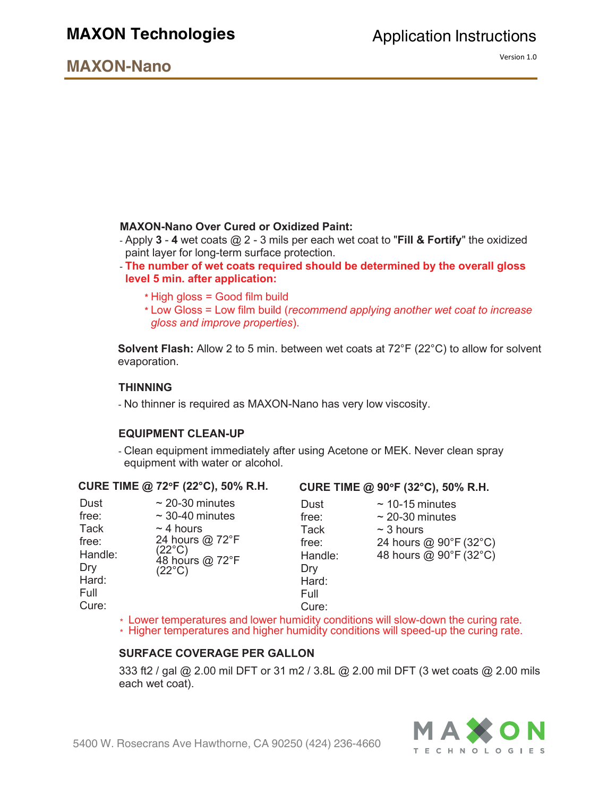# **MAXON Technologies**

# **MAXON-Nano**

# **MAXON-Nano Over Cured or Oxidized Paint:**

- Apply **3 4** wet coats @ 2 3 mils per each wet coat to "**Fill & Fortify**" the oxidized paint layer for long-term surface protection.
- **The number of wet coats required should be determined by the overall gloss level 5 min. after application:**
	- **\*** High gloss = Good film build
	- **\*** Low Gloss = Low film build (*recommend applying another wet coat to increase gloss and improve properties*).

**Solvent Flash:** Allow 2 to 5 min. between wet coats at 72°F (22°C) to allow for solvent evaporation.

#### **THINNING**

- No thinner is required as MAXON-Nano has very low viscosity.

#### **EQUIPMENT CLEAN-UP**

- Clean equipment immediately after using Acetone or MEK. Never clean spray equipment with water or alcohol.

| Dust<br>free:<br>Tack<br>free:<br>Handle:<br>Dry<br>Hard:<br>Full<br>Cure: | $\sim$ 20-30 minutes<br>$\sim$ 30-40 minutes<br>$\sim$ 4 hours<br>24 hours @ 72°F<br>$(22^{\circ}C)$<br>48 hours @ 72°F<br>$(22^{\circ}C)$ |
|----------------------------------------------------------------------------|--------------------------------------------------------------------------------------------------------------------------------------------|
|                                                                            |                                                                                                                                            |

# **CURE TIME @ 72**°**F (22°C), 50% R.H. CURE TIME @ 90**°**F (32°C), 50% R.H.**

Dust free: Tack free: Handle: Dry Hard: Full  $\sim$  10-15 minutes  $\sim$  20-30 minutes  $~\sim$  3 hours 24 hours @ 90°F (32°C) 48 hours @ 90°F (32°C)

Cure: \* Lower temperatures and lower humidity conditions will slow-down the curing rate.

\* Higher temperatures and higher humidity conditions will speed-up the curing rate.

#### **SURFACE COVERAGE PER GALLON**

333 ft2 / gal @ 2.00 mil DFT or 31 m2 / 3.8L @ 2.00 mil DFT (3 wet coats @ 2.00 mils each wet coat).

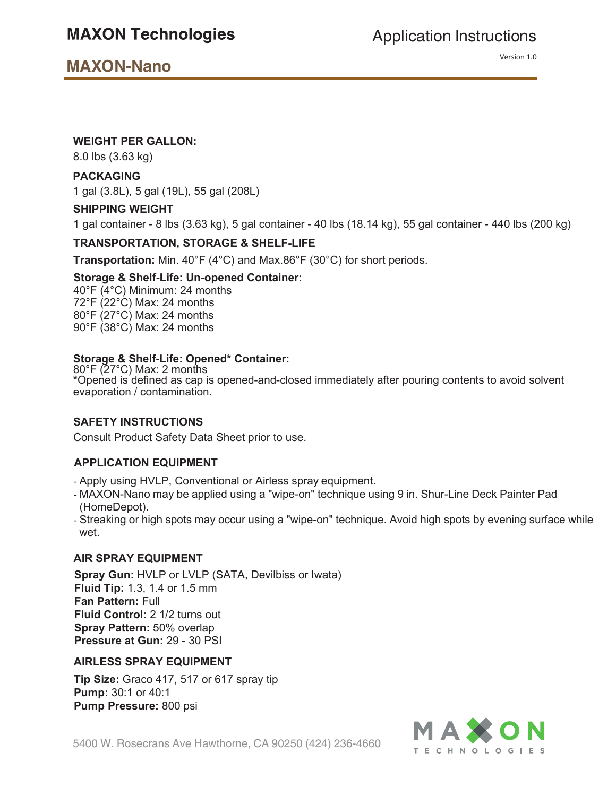Version 1.0

# **WEIGHT PER GALLON:**

8.0 lbs (3.63 kg)

# **PACKAGING**

1 gal (3.8L), 5 gal (19L), 55 gal (208L)

#### **SHIPPING WEIGHT**

1 gal container - 8 lbs (3.63 kg), 5 gal container - 40 lbs (18.14 kg), 55 gal container - 440 lbs (200 kg)

# **TRANSPORTATION, STORAGE & SHELF-LIFE**

**Transportation:** Min. 40°F (4°C) and Max.86°F (30°C) for short periods.

#### **Storage & Shelf-Life: Un-opened Container:**

40°F (4°C) Minimum: 24 months 72°F (22°C) Max: 24 months 80°F (27°C) Max: 24 months 90°F (38°C) Max: 24 months

# **Storage & Shelf-Life: Opened\* Container:**

80°F (27°C) Max: 2 months **\***Opened is defined as cap is opened-and-closed immediately after pouring contents to avoid solvent evaporation / contamination.

# **SAFETY INSTRUCTIONS**

Consult Product Safety Data Sheet prior to use.

# **APPLICATION EQUIPMENT**

- Apply using HVLP, Conventional or Airless spray equipment.
- MAXON-Nano may be applied using a "wipe-on" technique using 9 in. Shur-Line Deck Painter Pad (HomeDepot).
- Streaking or high spots may occur using a "wipe-on" technique. Avoid high spots by evening surface while wet.

# **AIR SPRAY EQUIPMENT**

**Spray Gun:** HVLP or LVLP (SATA, Devilbiss or Iwata) **Fluid Tip:** 1.3, 1.4 or 1.5 mm **Fan Pattern:** Full **Fluid Control:** 2 1/2 turns out **Spray Pattern:** 50% overlap **Pressure at Gun:** 29 - 30 PSI

# **AIRLESS SPRAY EQUIPMENT**

**Tip Size:** Graco 417, 517 or 617 spray tip **Pump:** 30:1 or 40:1 **Pump Pressure:** 800 psi

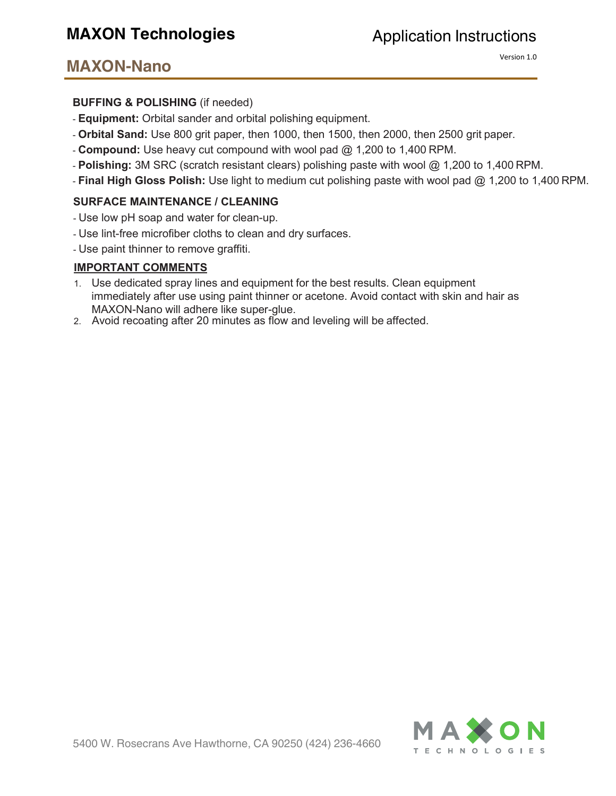Version 1.0

# **BUFFING & POLISHING** (if needed)

- **Equipment:** Orbital sander and orbital polishing equipment.
- **Orbital Sand:** Use 800 grit paper, then 1000, then 1500, then 2000, then 2500 grit paper.
- **Compound:** Use heavy cut compound with wool pad @ 1,200 to 1,400 RPM.
- **Polishing:** 3M SRC (scratch resistant clears) polishing paste with wool @ 1,200 to 1,400 RPM.
- **Final High Gloss Polish:** Use light to medium cut polishing paste with wool pad @ 1,200 to 1,400 RPM.

# **SURFACE MAINTENANCE / CLEANING**

- Use low pH soap and water for clean-up.
- Use lint-free microfiber cloths to clean and dry surfaces.
- Use paint thinner to remove graffiti.

# **IMPORTANT COMMENTS**

- 1. Use dedicated spray lines and equipment for the best results. Clean equipment immediately after use using paint thinner or acetone. Avoid contact with skin and hair as MAXON-Nano will adhere like super-glue.
- 2. Avoid recoating after 20 minutes as flow and leveling will be affected.

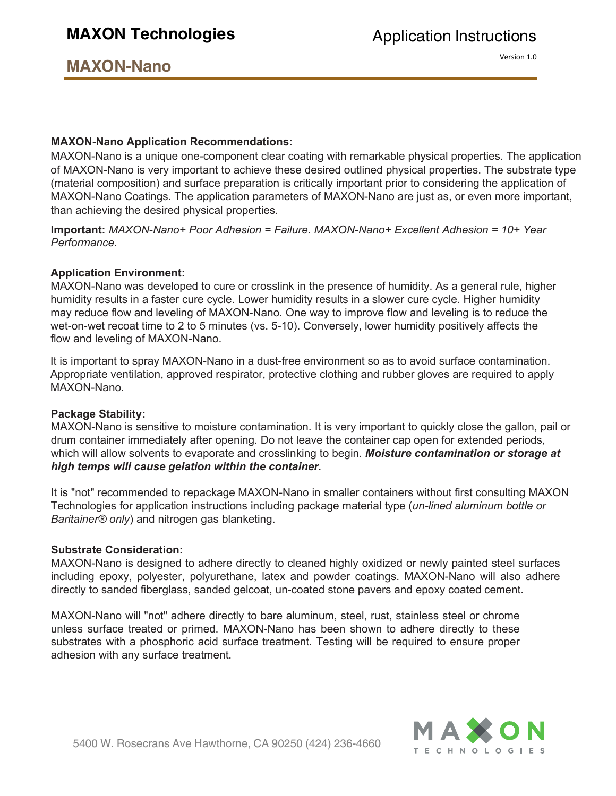Version 1.0

# **MAXON-Nano Application Recommendations:**

MAXON-Nano is a unique one-component clear coating with remarkable physical properties. The application of MAXON-Nano is very important to achieve these desired outlined physical properties. The substrate type (material composition) and surface preparation is critically important prior to considering the application of MAXON-Nano Coatings. The application parameters of MAXON-Nano are just as, or even more important, than achieving the desired physical properties.

**Important:** *MAXON-Nano+ Poor Adhesion = Failure. MAXON-Nano+ Excellent Adhesion = 10+ Year Performance.*

# **Application Environment:**

MAXON-Nano was developed to cure or crosslink in the presence of humidity. As a general rule, higher humidity results in a faster cure cycle. Lower humidity results in a slower cure cycle. Higher humidity may reduce flow and leveling of MAXON-Nano. One way to improve flow and leveling is to reduce the wet-on-wet recoat time to 2 to 5 minutes (vs. 5-10). Conversely, lower humidity positively affects the flow and leveling of MAXON-Nano.

It is important to spray MAXON-Nano in a dust-free environment so as to avoid surface contamination. Appropriate ventilation, approved respirator, protective clothing and rubber gloves are required to apply MAXON-Nano.

# **Package Stability:**

MAXON-Nano is sensitive to moisture contamination. It is very important to quickly close the gallon, pail or drum container immediately after opening. Do not leave the container cap open for extended periods, which will allow solvents to evaporate and crosslinking to begin. *Moisture contamination or storage at high temps will cause gelation within the container.*

It is "not" recommended to repackage MAXON-Nano in smaller containers without first consulting MAXON Technologies for application instructions including package material type (*un-lined aluminum bottle or Baritainer® only*) and nitrogen gas blanketing.

# **Substrate Consideration:**

MAXON-Nano is designed to adhere directly to cleaned highly oxidized or newly painted steel surfaces including epoxy, polyester, polyurethane, latex and powder coatings. MAXON-Nano will also adhere directly to sanded fiberglass, sanded gelcoat, un-coated stone pavers and epoxy coated cement.

MAXON-Nano will "not" adhere directly to bare aluminum, steel, rust, stainless steel or chrome unless surface treated or primed. MAXON-Nano has been shown to adhere directly to these substrates with a phosphoric acid surface treatment. Testing will be required to ensure proper adhesion with any surface treatment.